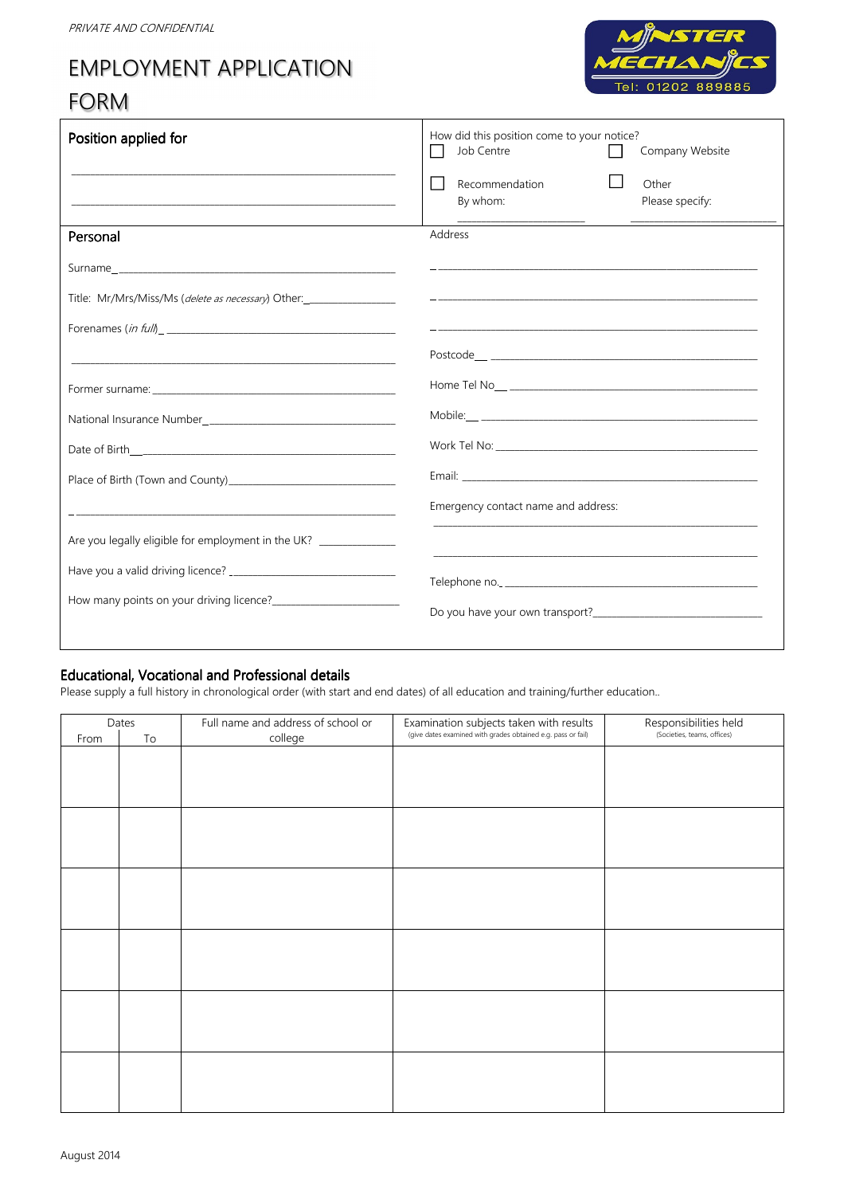# EMPLOYMENT APPLICATION

## FORM



| Position applied for                                               | How did this position come to your notice?<br>Job Centre<br>Company Website |
|--------------------------------------------------------------------|-----------------------------------------------------------------------------|
|                                                                    | Recommendation<br>Other<br>By whom:<br>Please specify:                      |
| Personal                                                           | Address                                                                     |
|                                                                    |                                                                             |
| Title: Mr/Mrs/Miss/Ms ( <i>delete as necessary</i> ) Other:        |                                                                             |
|                                                                    |                                                                             |
|                                                                    |                                                                             |
|                                                                    |                                                                             |
|                                                                    |                                                                             |
|                                                                    |                                                                             |
| Place of Birth (Town and County)                                   |                                                                             |
|                                                                    | Emergency contact name and address:                                         |
| Are you legally eligible for employment in the UK? _______________ |                                                                             |
|                                                                    |                                                                             |
|                                                                    |                                                                             |
|                                                                    |                                                                             |

#### Educational, Vocational and Professional details

Please supply a full history in chronological order (with start and end dates) of all education and training/further education..

| Dates |                        | Full name and address of school or | Examination subjects taken with results                      | Responsibilities held       |
|-------|------------------------|------------------------------------|--------------------------------------------------------------|-----------------------------|
| From  | $\mathsf{T}\mathsf{o}$ | college                            | (give dates examined with grades obtained e.g. pass or fail) | (Societies, teams, offices) |
|       |                        |                                    |                                                              |                             |
|       |                        |                                    |                                                              |                             |
|       |                        |                                    |                                                              |                             |
|       |                        |                                    |                                                              |                             |
|       |                        |                                    |                                                              |                             |
|       |                        |                                    |                                                              |                             |
|       |                        |                                    |                                                              |                             |
|       |                        |                                    |                                                              |                             |
|       |                        |                                    |                                                              |                             |
|       |                        |                                    |                                                              |                             |
|       |                        |                                    |                                                              |                             |
|       |                        |                                    |                                                              |                             |
|       |                        |                                    |                                                              |                             |
|       |                        |                                    |                                                              |                             |
|       |                        |                                    |                                                              |                             |
|       |                        |                                    |                                                              |                             |
|       |                        |                                    |                                                              |                             |
|       |                        |                                    |                                                              |                             |
|       |                        |                                    |                                                              |                             |
|       |                        |                                    |                                                              |                             |
|       |                        |                                    |                                                              |                             |
|       |                        |                                    |                                                              |                             |
|       |                        |                                    |                                                              |                             |
|       |                        |                                    |                                                              |                             |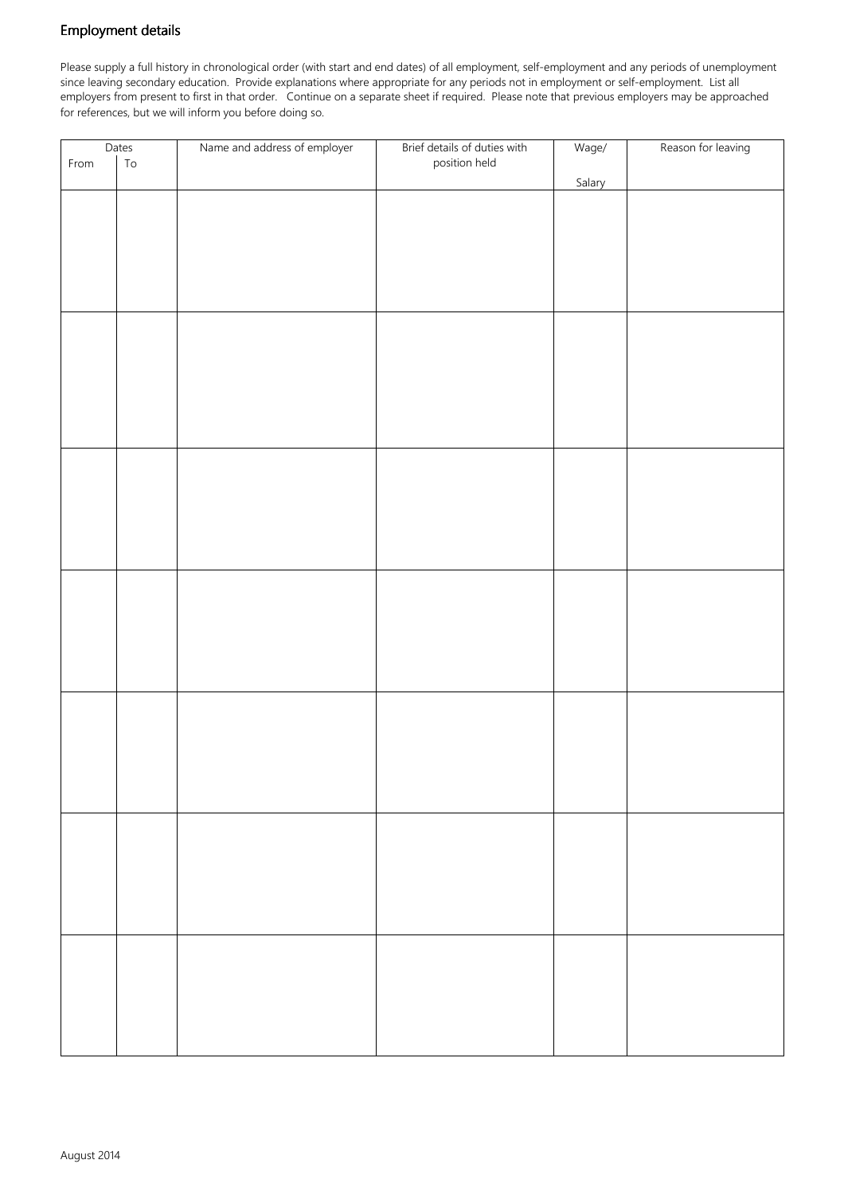#### Employment details

Please supply a full history in chronological order (with start and end dates) of all employment, self-employment and any periods of unemployment since leaving secondary education. Provide explanations where appropriate for any periods not in employment or self-employment. List all employers from present to first in that order. Continue on a separate sheet if required. Please note that previous employers may be approached for references, but we will inform you before doing so.

| Dates |            | Name and address of employer | Brief details of duties with | Wage/  | Reason for leaving |
|-------|------------|------------------------------|------------------------------|--------|--------------------|
| From  | ${\tt To}$ |                              | position held                |        |                    |
|       |            |                              |                              | Salary |                    |
|       |            |                              |                              |        |                    |
|       |            |                              |                              |        |                    |
|       |            |                              |                              |        |                    |
|       |            |                              |                              |        |                    |
|       |            |                              |                              |        |                    |
|       |            |                              |                              |        |                    |
|       |            |                              |                              |        |                    |
|       |            |                              |                              |        |                    |
|       |            |                              |                              |        |                    |
|       |            |                              |                              |        |                    |
|       |            |                              |                              |        |                    |
|       |            |                              |                              |        |                    |
|       |            |                              |                              |        |                    |
|       |            |                              |                              |        |                    |
|       |            |                              |                              |        |                    |
|       |            |                              |                              |        |                    |
|       |            |                              |                              |        |                    |
|       |            |                              |                              |        |                    |
|       |            |                              |                              |        |                    |
|       |            |                              |                              |        |                    |
|       |            |                              |                              |        |                    |
|       |            |                              |                              |        |                    |
|       |            |                              |                              |        |                    |
|       |            |                              |                              |        |                    |
|       |            |                              |                              |        |                    |
|       |            |                              |                              |        |                    |
|       |            |                              |                              |        |                    |
|       |            |                              |                              |        |                    |
|       |            |                              |                              |        |                    |
|       |            |                              |                              |        |                    |
|       |            |                              |                              |        |                    |
|       |            |                              |                              |        |                    |
|       |            |                              |                              |        |                    |
|       |            |                              |                              |        |                    |
|       |            |                              |                              |        |                    |
|       |            |                              |                              |        |                    |
|       |            |                              |                              |        |                    |
|       |            |                              |                              |        |                    |
|       |            |                              |                              |        |                    |
|       |            |                              |                              |        |                    |
|       |            |                              |                              |        |                    |
|       |            |                              |                              |        |                    |
|       |            |                              |                              |        |                    |
|       |            |                              |                              |        |                    |
|       |            |                              |                              |        |                    |
|       |            |                              |                              |        |                    |
|       |            |                              |                              |        |                    |
|       |            |                              |                              |        |                    |
|       |            |                              |                              |        |                    |
|       |            |                              |                              |        |                    |
|       |            |                              |                              |        |                    |
|       |            |                              |                              |        |                    |
|       |            |                              |                              |        |                    |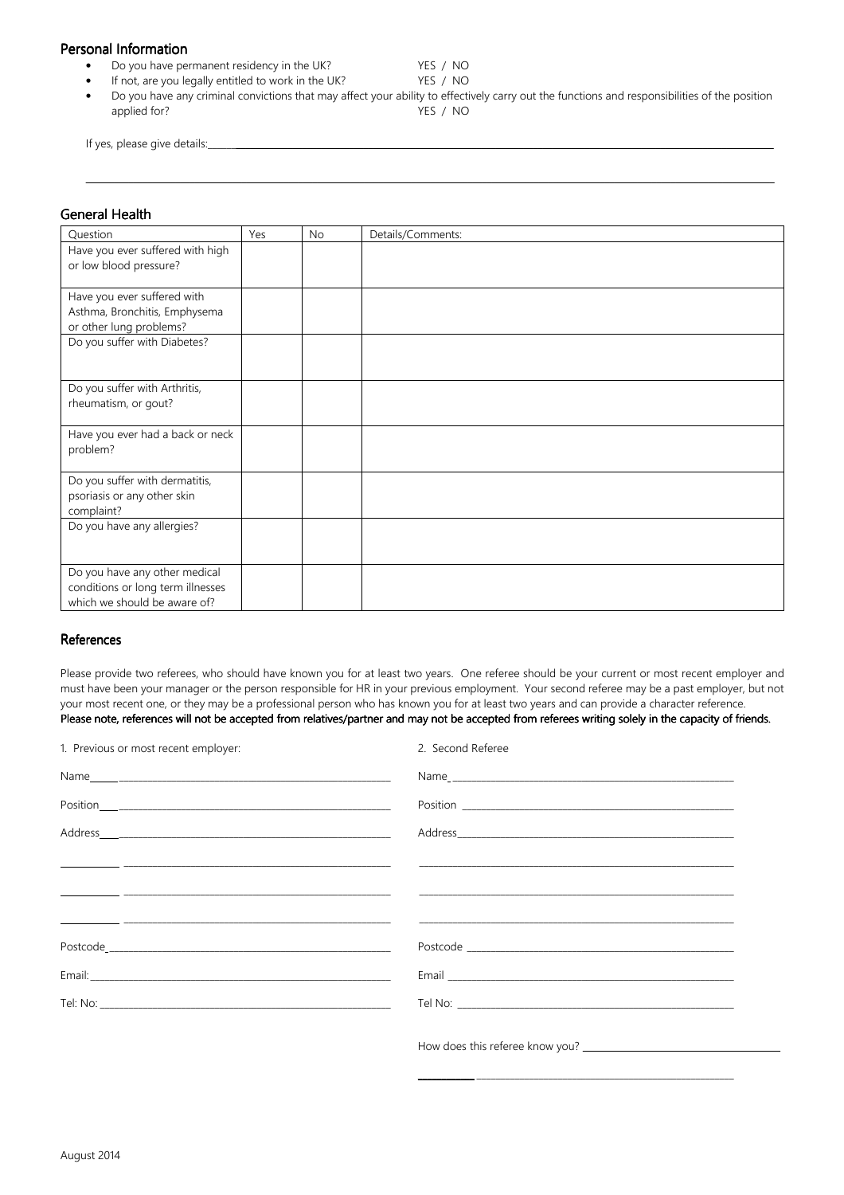#### Personal Information

- Do you have permanent residency in the UK? YES / NO
- If not, are you legally entitled to work in the UK? YES / NO
- Do you have any criminal convictions that may affect your ability to effectively carry out the functions and responsibilities of the position applied for? YES / NO

<u> 1999 - Johann Barn, mars ann an t-Amhainn ann an t-Amhainn an t-Amhainn an t-Amhainn an t-Amhainn an t-Amhain</u>

If yes, please give details:

#### **General Health**

| Have you ever suffered with high<br>or low blood pressure?<br>Have you ever suffered with<br>Asthma, Bronchitis, Emphysema<br>or other lung problems?<br>Do you suffer with Diabetes?<br>Do you suffer with Arthritis,<br>rheumatism, or gout?<br>Have you ever had a back or neck<br>problem?<br>Do you suffer with dermatitis,<br>psoriasis or any other skin<br>complaint?<br>Do you have any allergies?<br>Do you have any other medical<br>conditions or long term illnesses | Question | Yes | <b>No</b> | Details/Comments: |
|-----------------------------------------------------------------------------------------------------------------------------------------------------------------------------------------------------------------------------------------------------------------------------------------------------------------------------------------------------------------------------------------------------------------------------------------------------------------------------------|----------|-----|-----------|-------------------|
|                                                                                                                                                                                                                                                                                                                                                                                                                                                                                   |          |     |           |                   |
|                                                                                                                                                                                                                                                                                                                                                                                                                                                                                   |          |     |           |                   |
|                                                                                                                                                                                                                                                                                                                                                                                                                                                                                   |          |     |           |                   |
|                                                                                                                                                                                                                                                                                                                                                                                                                                                                                   |          |     |           |                   |
|                                                                                                                                                                                                                                                                                                                                                                                                                                                                                   |          |     |           |                   |
|                                                                                                                                                                                                                                                                                                                                                                                                                                                                                   |          |     |           |                   |
|                                                                                                                                                                                                                                                                                                                                                                                                                                                                                   |          |     |           |                   |
|                                                                                                                                                                                                                                                                                                                                                                                                                                                                                   |          |     |           |                   |
|                                                                                                                                                                                                                                                                                                                                                                                                                                                                                   |          |     |           |                   |
|                                                                                                                                                                                                                                                                                                                                                                                                                                                                                   |          |     |           |                   |
|                                                                                                                                                                                                                                                                                                                                                                                                                                                                                   |          |     |           |                   |
|                                                                                                                                                                                                                                                                                                                                                                                                                                                                                   |          |     |           |                   |
|                                                                                                                                                                                                                                                                                                                                                                                                                                                                                   |          |     |           |                   |
|                                                                                                                                                                                                                                                                                                                                                                                                                                                                                   |          |     |           |                   |
|                                                                                                                                                                                                                                                                                                                                                                                                                                                                                   |          |     |           |                   |
|                                                                                                                                                                                                                                                                                                                                                                                                                                                                                   |          |     |           |                   |
|                                                                                                                                                                                                                                                                                                                                                                                                                                                                                   |          |     |           |                   |
|                                                                                                                                                                                                                                                                                                                                                                                                                                                                                   |          |     |           |                   |
|                                                                                                                                                                                                                                                                                                                                                                                                                                                                                   |          |     |           |                   |
|                                                                                                                                                                                                                                                                                                                                                                                                                                                                                   |          |     |           |                   |
|                                                                                                                                                                                                                                                                                                                                                                                                                                                                                   |          |     |           |                   |
|                                                                                                                                                                                                                                                                                                                                                                                                                                                                                   |          |     |           |                   |
| which we should be aware of?                                                                                                                                                                                                                                                                                                                                                                                                                                                      |          |     |           |                   |

#### References

Please provide two referees, who should have known you for at least two years. One referee should be your current or most recent employer and must have been your manager or the person responsible for HR in your previous employment. Your second referee may be a past employer, but not your most recent one, or they may be a professional person who has known you for at least two years and can provide a character reference. Please note, references will not be accepted from relatives/partner and may not be accepted from referees writing solely in the capacity of friends.

| 1. Previous or most recent employer: | 2. Second Referee |
|--------------------------------------|-------------------|
|                                      |                   |
|                                      |                   |
|                                      |                   |
|                                      |                   |
|                                      |                   |
|                                      |                   |
|                                      |                   |
|                                      |                   |
|                                      |                   |
|                                      |                   |

\_\_\_\_\_\_\_\_\_\_\_\_ \_\_\_\_\_\_\_\_\_\_\_\_\_\_\_\_\_\_\_\_\_\_\_\_\_\_\_\_\_\_\_\_\_\_\_\_\_\_\_\_\_\_\_\_\_\_\_\_\_\_\_\_\_\_